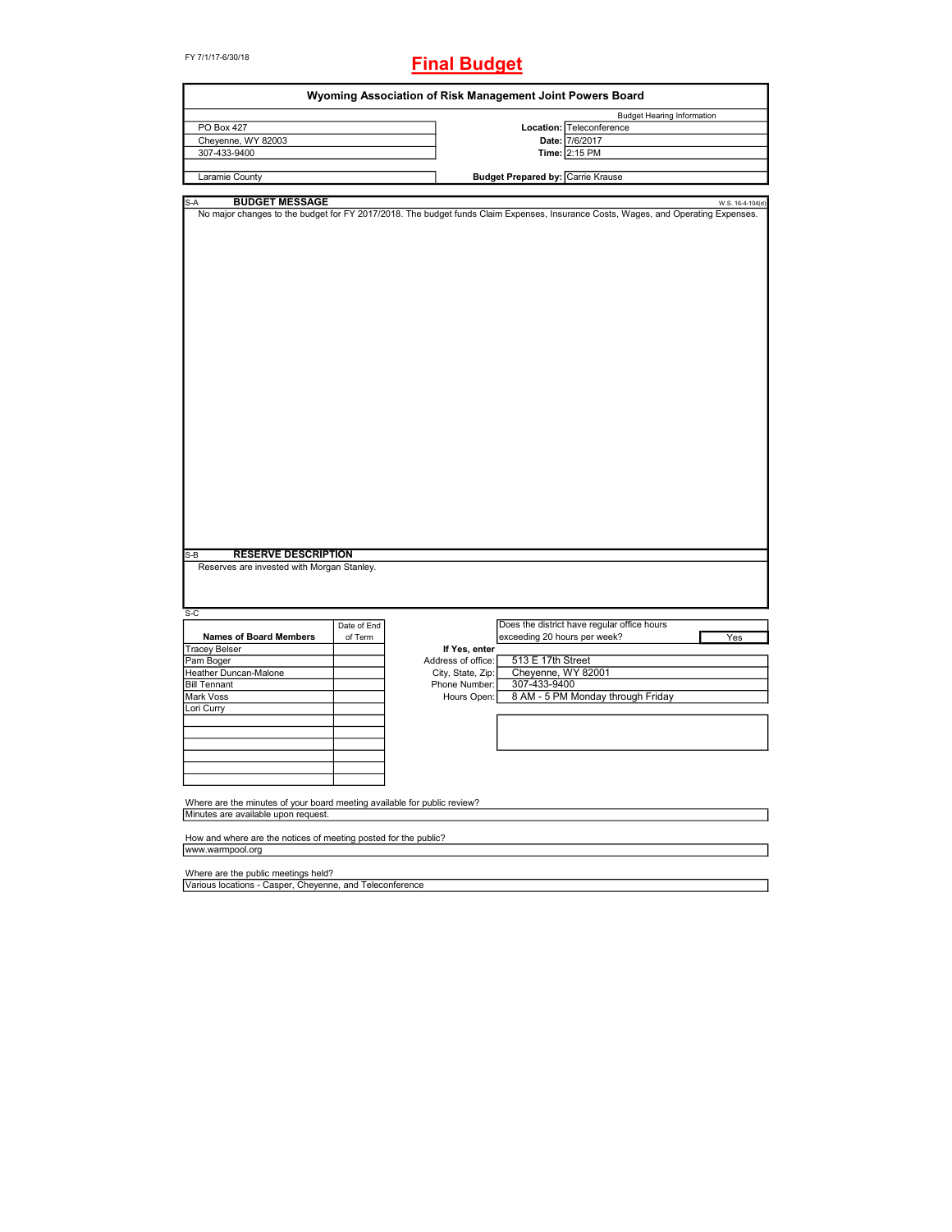#### FY 7/1/17-6/30/18

# **Final Budget**

|                                                                                                                                   |             | Wyoming Association of Risk Management Joint Powers Board |                                          |                                             |                  |
|-----------------------------------------------------------------------------------------------------------------------------------|-------------|-----------------------------------------------------------|------------------------------------------|---------------------------------------------|------------------|
|                                                                                                                                   |             |                                                           |                                          | <b>Budget Hearing Information</b>           |                  |
| PO Box 427                                                                                                                        |             |                                                           |                                          | Location: Teleconference                    |                  |
| Cheyenne, WY 82003                                                                                                                |             |                                                           |                                          | Date: 7/6/2017                              |                  |
|                                                                                                                                   |             |                                                           |                                          |                                             |                  |
| 307-433-9400                                                                                                                      |             |                                                           |                                          | Time: 2:15 PM                               |                  |
|                                                                                                                                   |             |                                                           |                                          |                                             |                  |
| Laramie County                                                                                                                    |             |                                                           | <b>Budget Prepared by: Carrie Krause</b> |                                             |                  |
|                                                                                                                                   |             |                                                           |                                          |                                             |                  |
| <b>BUDGET MESSAGE</b><br>,-А                                                                                                      |             |                                                           |                                          |                                             | W.S. 16-4-104(d) |
| No major changes to the budget for FY 2017/2018. The budget funds Claim Expenses, Insurance Costs, Wages, and Operating Expenses. |             |                                                           |                                          |                                             |                  |
|                                                                                                                                   |             |                                                           |                                          |                                             |                  |
|                                                                                                                                   |             |                                                           |                                          |                                             |                  |
|                                                                                                                                   |             |                                                           |                                          |                                             |                  |
|                                                                                                                                   |             |                                                           |                                          |                                             |                  |
|                                                                                                                                   |             |                                                           |                                          |                                             |                  |
|                                                                                                                                   |             |                                                           |                                          |                                             |                  |
|                                                                                                                                   |             |                                                           |                                          |                                             |                  |
|                                                                                                                                   |             |                                                           |                                          |                                             |                  |
|                                                                                                                                   |             |                                                           |                                          |                                             |                  |
|                                                                                                                                   |             |                                                           |                                          |                                             |                  |
|                                                                                                                                   |             |                                                           |                                          |                                             |                  |
|                                                                                                                                   |             |                                                           |                                          |                                             |                  |
|                                                                                                                                   |             |                                                           |                                          |                                             |                  |
|                                                                                                                                   |             |                                                           |                                          |                                             |                  |
|                                                                                                                                   |             |                                                           |                                          |                                             |                  |
|                                                                                                                                   |             |                                                           |                                          |                                             |                  |
|                                                                                                                                   |             |                                                           |                                          |                                             |                  |
|                                                                                                                                   |             |                                                           |                                          |                                             |                  |
|                                                                                                                                   |             |                                                           |                                          |                                             |                  |
|                                                                                                                                   |             |                                                           |                                          |                                             |                  |
|                                                                                                                                   |             |                                                           |                                          |                                             |                  |
|                                                                                                                                   |             |                                                           |                                          |                                             |                  |
|                                                                                                                                   |             |                                                           |                                          |                                             |                  |
|                                                                                                                                   |             |                                                           |                                          |                                             |                  |
|                                                                                                                                   |             |                                                           |                                          |                                             |                  |
|                                                                                                                                   |             |                                                           |                                          |                                             |                  |
|                                                                                                                                   |             |                                                           |                                          |                                             |                  |
|                                                                                                                                   |             |                                                           |                                          |                                             |                  |
|                                                                                                                                   |             |                                                           |                                          |                                             |                  |
|                                                                                                                                   |             |                                                           |                                          |                                             |                  |
|                                                                                                                                   |             |                                                           |                                          |                                             |                  |
|                                                                                                                                   |             |                                                           |                                          |                                             |                  |
| <b>RESERVE DESCRIPTION</b><br>$S-B$                                                                                               |             |                                                           |                                          |                                             |                  |
| Reserves are invested with Morgan Stanley.                                                                                        |             |                                                           |                                          |                                             |                  |
|                                                                                                                                   |             |                                                           |                                          |                                             |                  |
|                                                                                                                                   |             |                                                           |                                          |                                             |                  |
|                                                                                                                                   |             |                                                           |                                          |                                             |                  |
| $S-C$                                                                                                                             |             |                                                           |                                          |                                             |                  |
|                                                                                                                                   | Date of End |                                                           |                                          | Does the district have regular office hours |                  |
| <b>Names of Board Members</b>                                                                                                     |             |                                                           |                                          |                                             |                  |
|                                                                                                                                   | of Term     |                                                           | exceeding 20 hours per week?             |                                             | Yes              |
| <b>Tracey Belser</b>                                                                                                              |             | If Yes, enter                                             |                                          |                                             |                  |
| Pam Boger                                                                                                                         |             | Address of office:                                        | 513 E 17th Street                        |                                             |                  |
| Heather Duncan-Malone                                                                                                             |             | City, State, Zip:                                         | Cheyenne, WY 82001                       |                                             |                  |
| <b>Bill Tennant</b>                                                                                                               |             | Phone Number:                                             | 307-433-9400                             |                                             |                  |
| Mark Voss                                                                                                                         |             | Hours Open:                                               |                                          | 8 AM - 5 PM Monday through Friday           |                  |
| Lori Curry                                                                                                                        |             |                                                           |                                          |                                             |                  |
|                                                                                                                                   |             |                                                           |                                          |                                             |                  |
|                                                                                                                                   |             |                                                           |                                          |                                             |                  |
|                                                                                                                                   |             |                                                           |                                          |                                             |                  |
|                                                                                                                                   |             |                                                           |                                          |                                             |                  |
|                                                                                                                                   |             |                                                           |                                          |                                             |                  |
|                                                                                                                                   |             |                                                           |                                          |                                             |                  |
|                                                                                                                                   |             |                                                           |                                          |                                             |                  |
|                                                                                                                                   |             |                                                           |                                          |                                             |                  |
|                                                                                                                                   |             |                                                           |                                          |                                             |                  |
| Where are the minutes of your board meeting available for public review?                                                          |             |                                                           |                                          |                                             |                  |
| Minutes are available upon request.                                                                                               |             |                                                           |                                          |                                             |                  |
|                                                                                                                                   |             |                                                           |                                          |                                             |                  |
| How and where are the notices of meeting posted for the public?                                                                   |             |                                                           |                                          |                                             |                  |
| www.warmpool.org                                                                                                                  |             |                                                           |                                          |                                             |                  |
|                                                                                                                                   |             |                                                           |                                          |                                             |                  |
| Where are the public meetings held?                                                                                               |             |                                                           |                                          |                                             |                  |
|                                                                                                                                   |             |                                                           |                                          |                                             |                  |
| Various locations - Casper, Cheyenne, and Teleconference                                                                          |             |                                                           |                                          |                                             |                  |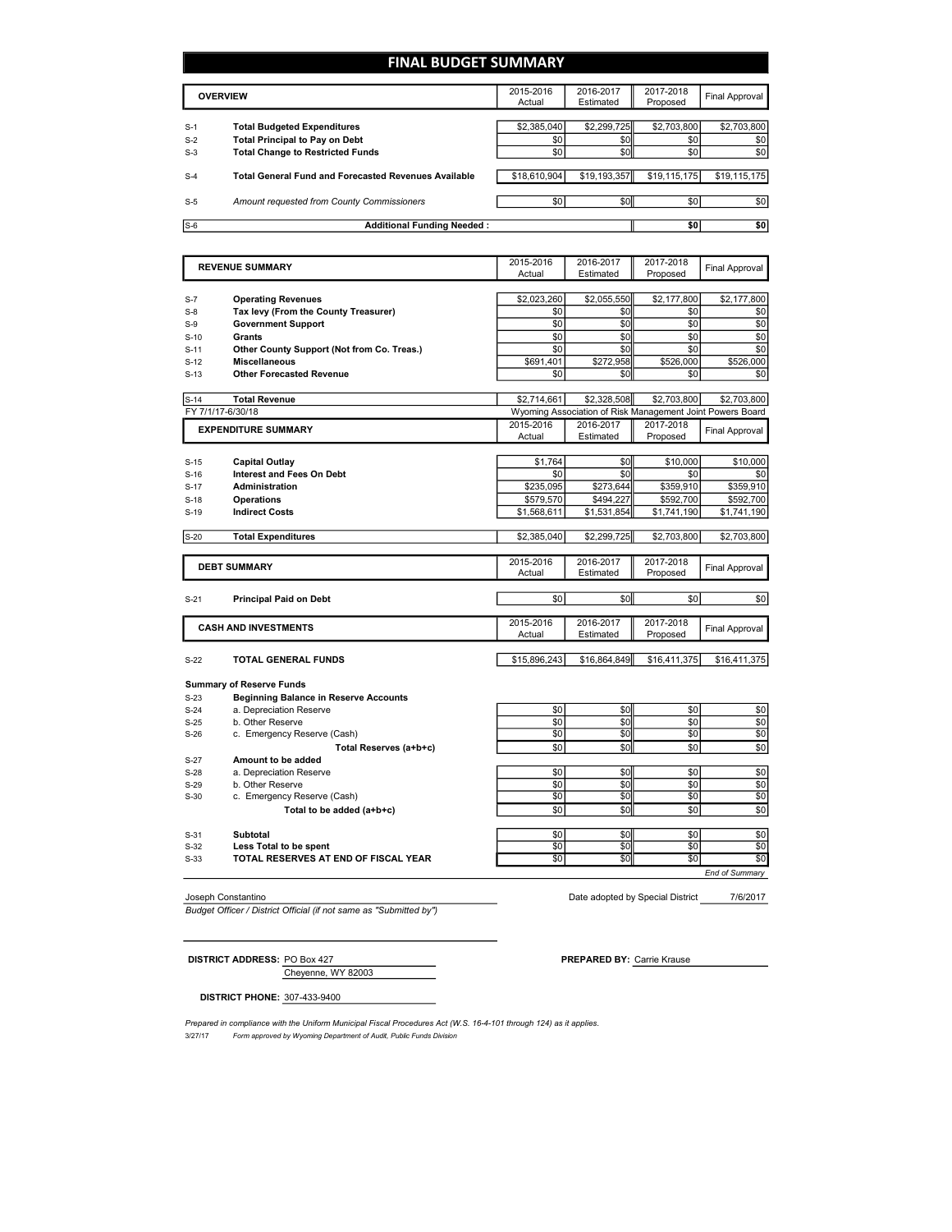## **FINAL BUDGET SUMMARY**

|       | <b>OVERVIEW</b>                                             | 2015-2016<br>Actual | 2016-2017<br>Estimated | 2017-2018<br>Proposed | Final Approval |
|-------|-------------------------------------------------------------|---------------------|------------------------|-----------------------|----------------|
|       |                                                             |                     |                        |                       |                |
| $S-1$ | <b>Total Budgeted Expenditures</b>                          | \$2,385,040         | \$2,299,725            | \$2,703,800           | \$2,703,800    |
| $S-2$ | <b>Total Principal to Pay on Debt</b>                       | \$0                 | \$0                    | \$0                   | \$0            |
| $S-3$ | <b>Total Change to Restricted Funds</b>                     | \$0                 | \$0 <sub>1</sub>       | \$0                   | \$0            |
| $S-4$ | <b>Total General Fund and Forecasted Revenues Available</b> | \$18,610,904        | \$19,193,357           | \$19,115,175          | \$19,115,175   |
| $S-5$ | Amount requested from County Commissioners                  | \$0                 | \$0                    | \$0                   | \$0            |
| $S-6$ | <b>Additional Funding Needed:</b>                           |                     |                        | \$0                   | \$0            |

|        | <b>REVENUE SUMMARY</b>                                                          | 2015-2016<br>Actual | 2016-2017<br>Estimated                                    | 2017-2018<br>Proposed | Final Approval        |  |
|--------|---------------------------------------------------------------------------------|---------------------|-----------------------------------------------------------|-----------------------|-----------------------|--|
|        |                                                                                 |                     |                                                           |                       |                       |  |
| $S-7$  | <b>Operating Revenues</b>                                                       | \$2,023,260         | \$2,055,550                                               | \$2,177,800           | \$2,177,800           |  |
| $S-8$  | Tax levy (From the County Treasurer)                                            | \$0                 | \$0                                                       | \$0                   | \$0                   |  |
| $S-9$  | <b>Government Support</b>                                                       | \$0                 | \$0                                                       | \$0                   | \$0                   |  |
| $S-10$ | <b>Grants</b>                                                                   | \$0                 | \$0                                                       | \$0                   | \$0                   |  |
| $S-11$ | Other County Support (Not from Co. Treas.)                                      | \$0                 | \$0                                                       | \$0                   | \$0                   |  |
| $S-12$ | <b>Miscellaneous</b>                                                            | \$691,401           | \$272,958                                                 | \$526,000             | \$526,000             |  |
| $S-13$ | <b>Other Forecasted Revenue</b>                                                 | \$0                 | \$0                                                       | \$0                   | \$0                   |  |
| $S-14$ | <b>Total Revenue</b>                                                            | \$2.714.661         | \$2,328,508                                               | \$2,703,800           | \$2,703,800           |  |
|        | FY 7/1/17-6/30/18                                                               |                     | Wyoming Association of Risk Management Joint Powers Board |                       |                       |  |
|        | <b>EXPENDITURE SUMMARY</b>                                                      | 2015-2016<br>Actual | 2016-2017<br>Estimated                                    | 2017-2018<br>Proposed | Final Approval        |  |
|        |                                                                                 |                     |                                                           |                       |                       |  |
| $S-15$ | Capital Outlay                                                                  | \$1.764             | \$0                                                       | \$10,000              | \$10,000              |  |
| $S-16$ | <b>Interest and Fees On Debt</b>                                                | \$0                 | \$0                                                       | \$0                   | \$0                   |  |
| $S-17$ | Administration                                                                  | \$235,095           | \$273,644                                                 | \$359,910             | \$359,910             |  |
| $S-18$ | <b>Operations</b>                                                               | \$579.570           | \$494.227                                                 | \$592.700             | \$592.700             |  |
| $S-19$ | <b>Indirect Costs</b>                                                           | \$1,568,611         | \$1,531,854                                               | \$1,741,190           | \$1,741,190           |  |
| $S-20$ | <b>Total Expenditures</b>                                                       | \$2,385,040         | \$2,299,725                                               | \$2,703,800           | \$2,703,800           |  |
|        | <b>DEBT SUMMARY</b>                                                             | 2015-2016<br>Actual | 2016-2017<br>Estimated                                    | 2017-2018<br>Proposed | Final Approval        |  |
| $S-21$ | <b>Principal Paid on Debt</b>                                                   | \$0                 | \$0                                                       | \$0                   | \$0                   |  |
|        | <b>CASH AND INVESTMENTS</b>                                                     | 2015-2016<br>Actual | 2016-2017<br>Estimated                                    | 2017-2018<br>Proposed | <b>Final Approval</b> |  |
| $S-22$ | <b>TOTAL GENERAL FUNDS</b>                                                      | \$15,896,243        | \$16,864,849                                              | \$16,411,375          | \$16,411,375          |  |
| $S-23$ | <b>Summary of Reserve Funds</b><br><b>Beginning Balance in Reserve Accounts</b> |                     |                                                           |                       |                       |  |
| $S-24$ | a. Depreciation Reserve                                                         | \$0                 | \$0                                                       | \$0                   | \$0                   |  |
| $S-25$ | b. Other Reserve                                                                | \$0                 | \$0                                                       | \$0                   | \$0                   |  |
| $S-26$ | c. Emergency Reserve (Cash)                                                     | \$0                 | \$0                                                       | \$0                   | \$0                   |  |
|        | Total Reserves (a+b+c)                                                          | \$0                 | \$0                                                       | \$0                   | \$0                   |  |
|        |                                                                                 |                     |                                                           |                       |                       |  |

| $S-27$ | Amount to be added                   |     |     |     |     |
|--------|--------------------------------------|-----|-----|-----|-----|
| $S-28$ | a. Depreciation Reserve              | \$0 |     | \$0 | \$0 |
| $S-29$ | b. Other Reserve                     | \$C |     | \$0 | \$0 |
| $S-30$ | c. Emergency Reserve (Cash)          | \$0 |     | \$0 | \$0 |
|        | Total to be added (a+b+c)            | \$0 |     | \$0 | \$0 |
|        |                                      |     |     |     |     |
| $S-31$ | Subtotal                             | \$0 |     | \$0 | \$0 |
| $S-32$ | Less Total to be spent               | \$0 |     | \$0 | \$0 |
| $S-33$ | TOTAL RESERVES AT END OF FISCAL YEAR | \$0 | \$0 | \$0 | \$0 |

*Budget Officer / District Official (if not same as "Submitted by")*

7/6/2017 Joseph Constantino Date adopted by Special District

*End of Summary*

Cheyenne, WY 82003 **DISTRICT ADDRESS:** PO Box 427 **PREPARED BY:** Carrie Krause

**DISTRICT PHONE:** 307-433-9400

3/27/17 *Form approved by Wyoming Department of Audit, Public Funds Division* Prepared in compliance with the Uniform Municipal Fiscal Procedures Act (W.S. 16-4-101 through 124) as it applies.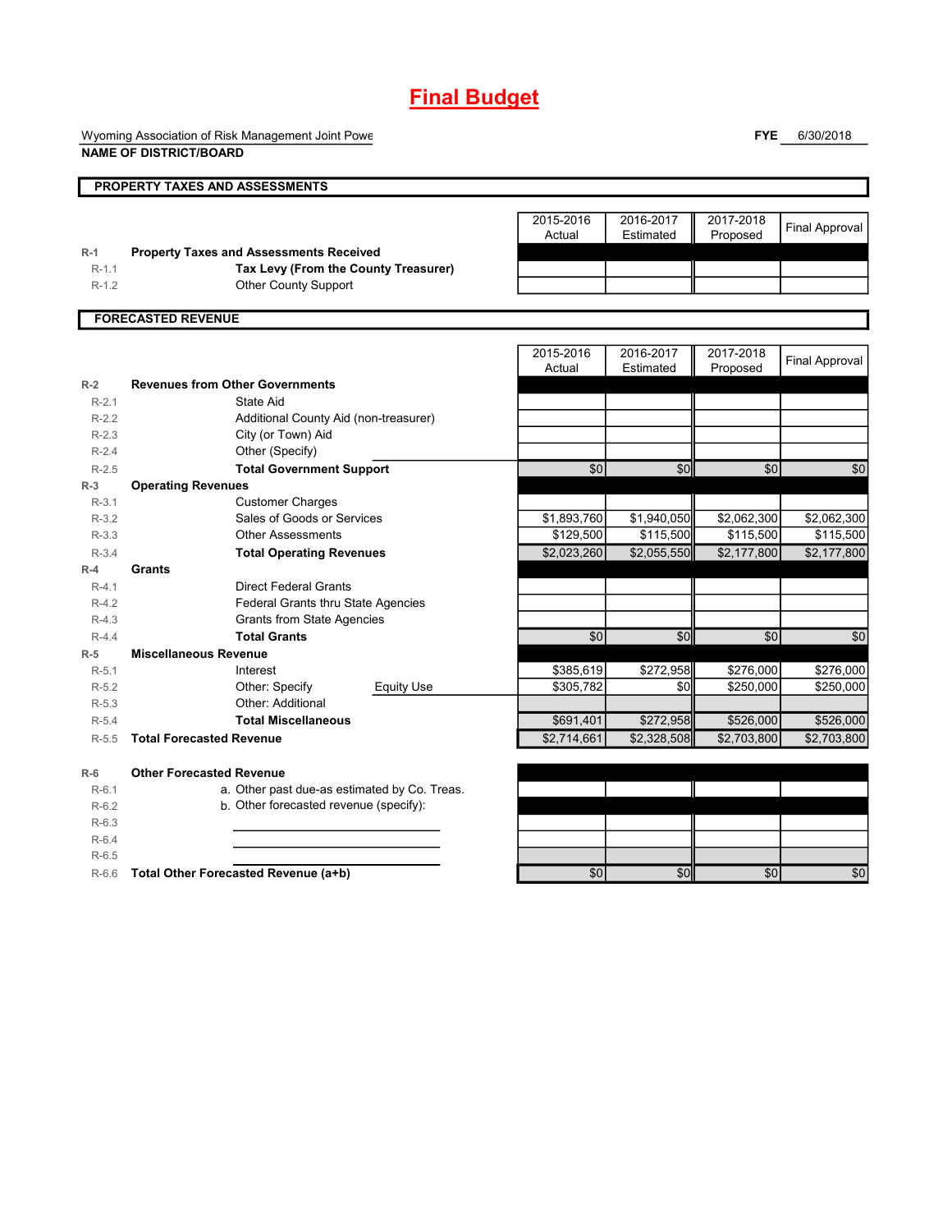# **Final Budget**

Wyoming Association of Risk Management Joint Powe **NAME OF DISTRICT/BOARD**

**FYE** 6/30/2018

|         | PROPERTY TAXES AND ASSESSMENTS                 |                     |                        |                       |                       |
|---------|------------------------------------------------|---------------------|------------------------|-----------------------|-----------------------|
|         |                                                |                     |                        |                       |                       |
|         |                                                | 2015-2016<br>Actual | 2016-2017<br>Estimated | 2017-2018<br>Proposed | <b>Final Approval</b> |
| $R-1$   | <b>Property Taxes and Assessments Received</b> |                     |                        |                       |                       |
| $R-1.1$ | Tax Levy (From the County Treasurer)           |                     |                        |                       |                       |
| $R-1.2$ | <b>Other County Support</b>                    |                     |                        |                       |                       |
|         | <b>FORECASTED REVENUE</b>                      |                     |                        |                       |                       |
|         |                                                |                     |                        |                       |                       |
|         |                                                | 2015-2016           | 2016-2017              | 2017-2018             |                       |
|         |                                                | Actual              | Estimated              | Proposed              | <b>Final Approval</b> |
| $R-2$   | <b>Revenues from Other Governments</b>         |                     |                        |                       |                       |
| $R-2.1$ | State Aid                                      |                     |                        |                       |                       |
| $R-2.2$ | Additional County Aid (non-treasurer)          |                     |                        |                       |                       |
| $R-2.3$ | City (or Town) Aid                             |                     |                        |                       |                       |
| $R-2.4$ | Other (Specify)                                |                     |                        |                       |                       |
| $R-2.5$ | <b>Total Government Support</b>                | $\overline{50}$     | \$0                    | $\sqrt{6}$            | \$0                   |
| $R-3$   | <b>Operating Revenues</b>                      |                     |                        |                       |                       |
| $R-3.1$ | <b>Customer Charges</b>                        |                     |                        |                       |                       |
| $R-3.2$ | Sales of Goods or Services                     | \$1,893,760         | \$1,940,050            | \$2,062,300           | \$2,062,300           |
| $R-3.3$ | <b>Other Assessments</b>                       | \$129,500           | \$115,500              | \$115,500             | \$115,500             |
| $R-3.4$ | <b>Total Operating Revenues</b>                | \$2,023,260         | \$2,055,550            | \$2,177,800           | \$2,177,800           |
| $R-4$   | Grants                                         |                     |                        |                       |                       |
| $R-4.1$ | <b>Direct Federal Grants</b>                   |                     |                        |                       |                       |
| $R-4.2$ | Federal Grants thru State Agencies             |                     |                        |                       |                       |
| $R-4.3$ | <b>Grants from State Agencies</b>              |                     |                        |                       |                       |
| $R-4.4$ | <b>Total Grants</b>                            | \$0                 | \$0                    | $\sqrt{6}$            | \$0                   |
| $R-5$   | <b>Miscellaneous Revenue</b>                   |                     |                        |                       |                       |
| $R-5.1$ | Interest                                       | \$385,619           | \$272,958              | \$276,000             | \$276,000             |
| $R-5.2$ | Other: Specify<br><b>Equity Use</b>            | \$305,782           | \$0                    | \$250,000             | \$250,000             |
| $R-5.3$ | Other: Additional                              |                     |                        |                       |                       |
| $R-5.4$ | <b>Total Miscellaneous</b>                     | \$691,401           | \$272,958              | \$526,000             | \$526,000             |
| $R-5.5$ | <b>Total Forecasted Revenue</b>                | \$2,714,661         | \$2,328,508            | \$2,703,800           | \$2,703,800           |
|         |                                                |                     |                        |                       |                       |
| $R-6$   | <b>Other Forecasted Revenue</b>                |                     |                        |                       |                       |
| $R-6.1$ | a. Other past due-as estimated by Co. Treas.   |                     |                        |                       |                       |
| $R-6.2$ | b. Other forecasted revenue (specify):         |                     |                        |                       |                       |
| $R-6.3$ |                                                |                     |                        |                       |                       |
| $R-6.4$ |                                                |                     |                        |                       |                       |
| $R-6.5$ |                                                |                     |                        |                       |                       |

R-6.6 **Total Other Forecasted Revenue (a+b) 12 \cdots \$0** \$0 \$0 \$0 \$0 \$0 \$0 \$0 \$0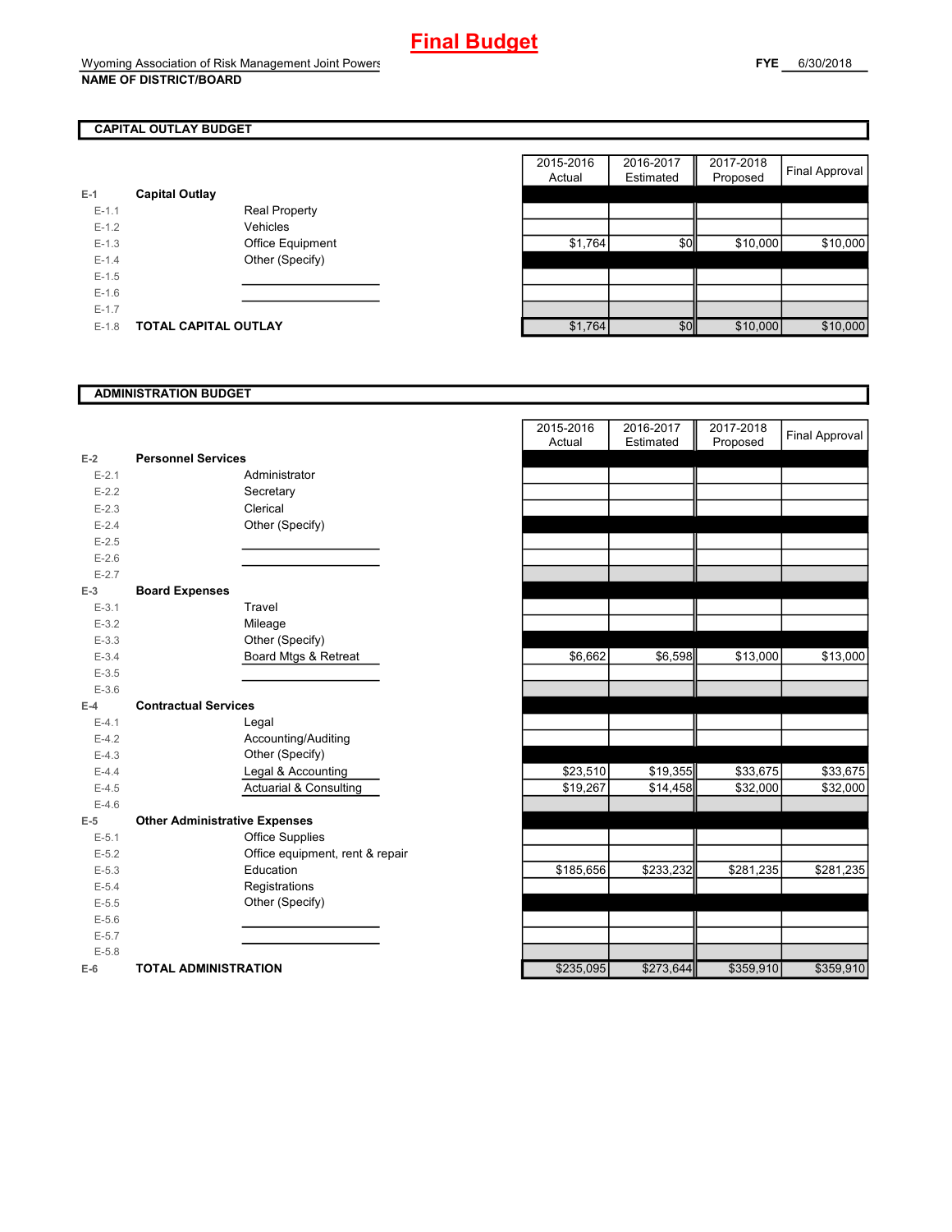# **CAPITAL OUTLAY BUDGET**

| E-1       | <b>Capital Outlay</b> |                         |
|-----------|-----------------------|-------------------------|
| $E - 1.1$ |                       | Real Property           |
| $F-12$    |                       | Vehicles                |
| $F-1.3$   |                       | <b>Office Equipment</b> |
| $F-14$    |                       | Other (Specify)         |
| $F-1.5$   |                       |                         |
| $F-16$    |                       |                         |
| $F-17$    |                       |                         |
| $F-1.8$   | TOTAL CAPITAL OUTLAY  |                         |

|         |                             |                      | 2015-2016 | 2016-2017 | 2017-2018 | Final Approval |
|---------|-----------------------------|----------------------|-----------|-----------|-----------|----------------|
|         |                             |                      | Actual    | Estimated | Proposed  |                |
|         | <b>Capital Outlay</b>       |                      |           |           |           |                |
| $E-1.1$ |                             | <b>Real Property</b> |           |           |           |                |
| $E-1.2$ |                             | Vehicles             |           |           |           |                |
| $E-1.3$ |                             | Office Equipment     | \$1,764   | \$0       | \$10,000  | \$10,000       |
| $E-1.4$ |                             | Other (Specify)      |           |           |           |                |
| $E-1.5$ |                             |                      |           |           |           |                |
| $E-1.6$ |                             |                      |           |           |           |                |
| $E-1.7$ |                             |                      |           |           |           |                |
| $E-1.8$ | <b>TOTAL CAPITAL OUTLAY</b> |                      | \$1,764   | \$0       | \$10,000  | \$10,000       |

## **ADMINISTRATION BUDGET**

| $E-2$     | <b>Personnel Services</b>            |                                   |
|-----------|--------------------------------------|-----------------------------------|
| $E - 2.1$ |                                      | Administrator                     |
| $E - 2.2$ |                                      | Secretary                         |
| $E - 2.3$ |                                      | Clerical                          |
| $E - 2.4$ |                                      | Other (Specify)                   |
| $E - 2.5$ |                                      |                                   |
| $E-2.6$   |                                      |                                   |
| $E - 2.7$ |                                      |                                   |
| $E-3$     | <b>Board Expenses</b>                |                                   |
| $E - 3.1$ |                                      | Travel                            |
| $E - 3.2$ |                                      | Mileage                           |
| $E - 3.3$ |                                      | Other (Specify)                   |
| $E - 3.4$ |                                      | Board Mtgs & Retreat              |
| $E - 3.5$ |                                      |                                   |
| $E - 3.6$ |                                      |                                   |
| $E-4$     | <b>Contractual Services</b>          |                                   |
| $E - 4.1$ |                                      | Legal                             |
| $E-4.2$   |                                      | Accounting/Auditing               |
| $E-4.3$   |                                      | Other (Specify)                   |
| $E - 4.4$ |                                      | Legal & Accounting                |
| $E-4.5$   |                                      | <b>Actuarial &amp; Consulting</b> |
| $E-4.6$   |                                      |                                   |
| F-5       | <b>Other Administrative Expenses</b> |                                   |
| $E - 5.1$ |                                      | <b>Office Supplies</b>            |
| $E - 5.2$ |                                      | Office equipment, rent & repair   |
| $E - 5.3$ |                                      | Education                         |
| $E - 5.4$ |                                      | Registrations                     |
| $E - 5.5$ |                                      | Other (Specify)                   |
| $E - 5.6$ |                                      |                                   |
| $E - 5.7$ |                                      |                                   |
| $E - 5.8$ |                                      |                                   |
| $E-6$     | <b>TOTAL ADMINISTRATION</b>          |                                   |

|           |                                      | 2015-2016<br>Actual | 2016-2017<br>Estimated | 2017-2018<br>Proposed | <b>Final Approval</b> |
|-----------|--------------------------------------|---------------------|------------------------|-----------------------|-----------------------|
| $E-2$     | <b>Personnel Services</b>            |                     |                        |                       |                       |
| $E - 2.1$ | Administrator                        |                     |                        |                       |                       |
| $E - 2.2$ | Secretary                            |                     |                        |                       |                       |
| $E - 2.3$ | Clerical                             |                     |                        |                       |                       |
| $E-2.4$   | Other (Specify)                      |                     |                        |                       |                       |
| $E-2.5$   |                                      |                     |                        |                       |                       |
| $E-2.6$   |                                      |                     |                        |                       |                       |
| $E - 2.7$ |                                      |                     |                        |                       |                       |
| $E-3$     | <b>Board Expenses</b>                |                     |                        |                       |                       |
| $E-3.1$   | Travel                               |                     |                        |                       |                       |
| $E - 3.2$ | Mileage                              |                     |                        |                       |                       |
| $E - 3.3$ | Other (Specify)                      |                     |                        |                       |                       |
| $E - 3.4$ | Board Mtgs & Retreat                 | \$6,662             | \$6,598                | \$13,000              | \$13,000              |
| $E-3.5$   |                                      |                     |                        |                       |                       |
| $E - 3.6$ |                                      |                     |                        |                       |                       |
| $E-4$     | <b>Contractual Services</b>          |                     |                        |                       |                       |
| $E-4.1$   | Legal                                |                     |                        |                       |                       |
| $E-4.2$   | Accounting/Auditing                  |                     |                        |                       |                       |
| $E - 4.3$ | Other (Specify)                      |                     |                        |                       |                       |
| $E-4.4$   | Legal & Accounting                   | \$23,510            | \$19,355               | \$33,675              | \$33,675              |
| $E-4.5$   | <b>Actuarial &amp; Consulting</b>    | \$19,267            | \$14,458               | \$32,000              | \$32,000              |
| $E-4.6$   |                                      |                     |                        |                       |                       |
| $E-5$     | <b>Other Administrative Expenses</b> |                     |                        |                       |                       |
| $E-5.1$   | Office Supplies                      |                     |                        |                       |                       |
| $E-5.2$   | Office equipment, rent & repair      |                     |                        |                       |                       |
| $E - 5.3$ | Education                            | \$185,656           | \$233,232              | \$281,235             | \$281,235             |
| $E-5.4$   | Registrations                        |                     |                        |                       |                       |
| $E-5.5$   | Other (Specify)                      |                     |                        |                       |                       |
| $E-5.6$   |                                      |                     |                        |                       |                       |
| $E-5.7$   |                                      |                     |                        |                       |                       |
| $E - 5.8$ |                                      |                     |                        |                       |                       |
| $E-6$     | <b>TOTAL ADMINISTRATION</b>          | \$235,095           | \$273,644              | \$359,910             | \$359,910             |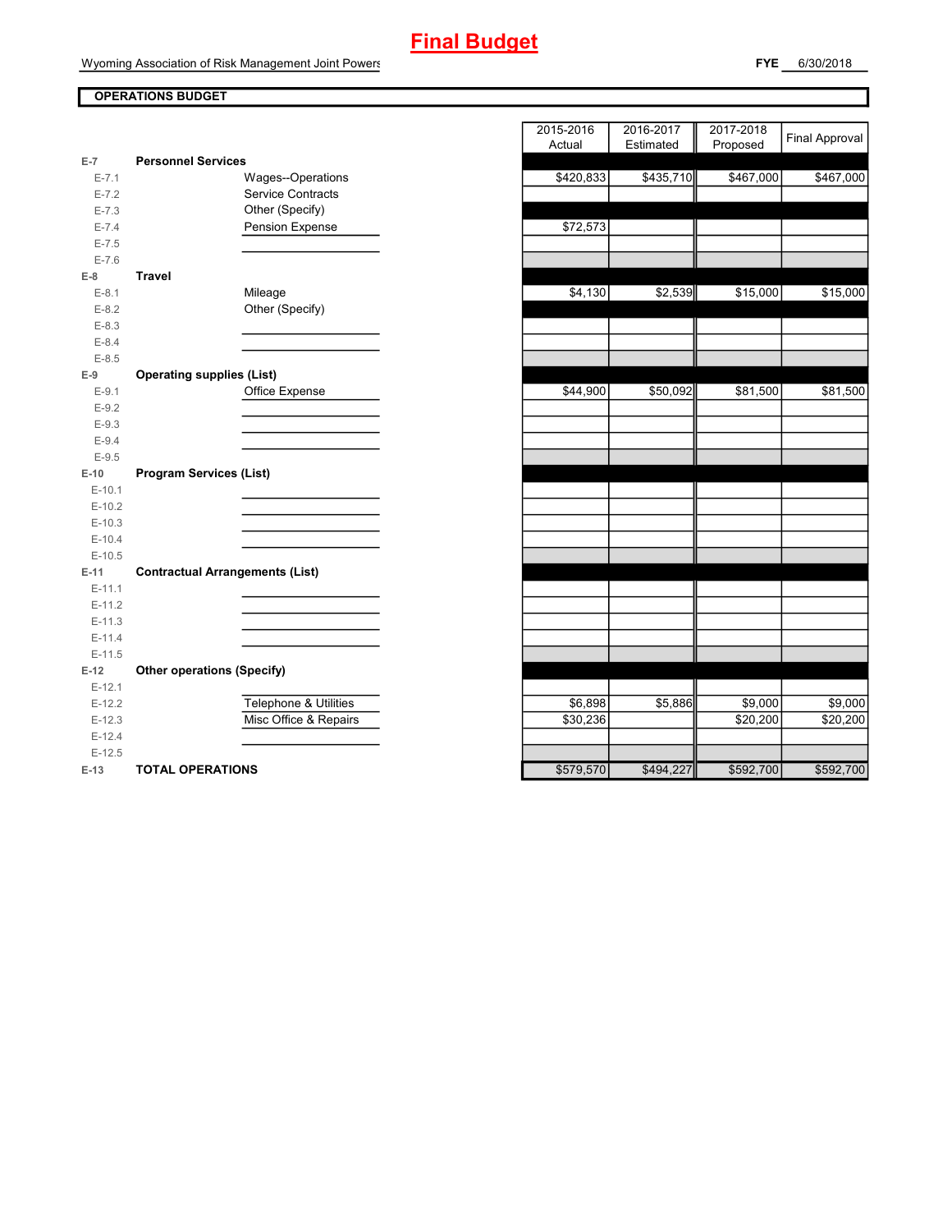# **Final Budget**

Wyoming Association of Risk Management Joint Powers

**FYE** 6/30/2018

# **OPERATIONS BUDGET**

|           |                                        |                          | $\overline{\phantom{a}}$ |
|-----------|----------------------------------------|--------------------------|--------------------------|
| $E-7$     | <b>Personnel Services</b>              |                          |                          |
| $E - 7.1$ |                                        | Wages--Operations        | \$420,833                |
| $E - 7.2$ |                                        | <b>Service Contracts</b> |                          |
| $E - 7.3$ |                                        | Other (Specify)          |                          |
| $E - 7.4$ |                                        | Pension Expense          | \$72,573                 |
| $E - 7.5$ |                                        |                          |                          |
| $E - 7.6$ |                                        |                          |                          |
| $E-8$     | <b>Travel</b>                          |                          |                          |
| $E-8.1$   | Mileage                                |                          | \$4,130                  |
| $E-8.2$   |                                        | Other (Specify)          |                          |
| $E-8.3$   |                                        |                          |                          |
| $E - 8.4$ |                                        |                          |                          |
| $E-8.5$   |                                        |                          |                          |
| $E-9$     | <b>Operating supplies (List)</b>       |                          |                          |
| $E-9.1$   |                                        | Office Expense           | \$44,900                 |
| $E-9.2$   |                                        |                          |                          |
| $E-9.3$   |                                        |                          |                          |
| $E-9.4$   |                                        |                          |                          |
| $E-9.5$   |                                        |                          |                          |
| $E-10$    | <b>Program Services (List)</b>         |                          |                          |
| $E-10.1$  |                                        |                          |                          |
| $E-10.2$  |                                        |                          |                          |
| $E-10.3$  |                                        |                          |                          |
| $E-10.4$  |                                        |                          |                          |
| $E-10.5$  |                                        |                          |                          |
| $E-11$    | <b>Contractual Arrangements (List)</b> |                          |                          |
| $E-11.1$  |                                        |                          |                          |
| $E-11.2$  |                                        |                          |                          |
| $E-11.3$  |                                        |                          |                          |
| $E-11.4$  |                                        |                          |                          |
| $E-11.5$  |                                        |                          |                          |
| $E-12$    | <b>Other operations (Specify)</b>      |                          |                          |
| $E-12.1$  |                                        |                          |                          |
| $E-12.2$  |                                        | Telephone & Utilities    | \$6,898                  |
| $E-12.3$  |                                        | Misc Office & Repairs    | \$30,236                 |
| $E-12.4$  |                                        |                          |                          |
| $E-12.5$  |                                        |                          |                          |
| $E-13$    | <b>TOTAL OPERATIONS</b>                |                          | \$579,570                |

|                |                                        | 2015-2016<br>2017-2018<br>2016-2017 | <b>Final Approval</b> |
|----------------|----------------------------------------|-------------------------------------|-----------------------|
|                |                                        | Actual<br>Estimated<br>Proposed     |                       |
| $\overline{7}$ | <b>Personnel Services</b>              |                                     |                       |
| $E - 7.1$      | Wages--Operations                      | \$420,833<br>\$435,710<br>\$467,000 | \$467,000             |
| $E - 7.2$      | Service Contracts                      |                                     |                       |
| $E - 7.3$      | Other (Specify)                        |                                     |                       |
| $E - 7.4$      | Pension Expense                        | \$72,573                            |                       |
| $E - 7.5$      |                                        |                                     |                       |
| $E - 7.6$      |                                        |                                     |                       |
| 8              | <b>Travel</b>                          |                                     |                       |
| $E-8.1$        | Mileage                                | \$4,130<br>\$2,539<br>\$15,000      | \$15,000              |
| $E-8.2$        | Other (Specify)                        |                                     |                       |
| $E-8.3$        |                                        |                                     |                       |
| $E - 8.4$      |                                        |                                     |                       |
| $E-8.5$        |                                        |                                     |                       |
| 9              | <b>Operating supplies (List)</b>       |                                     |                       |
| $E-9.1$        | Office Expense                         | \$44,900<br>\$50,092<br>\$81,500    | \$81,500              |
| $E-9.2$        |                                        |                                     |                       |
| $E-9.3$        |                                        |                                     |                       |
| $E - 9.4$      |                                        |                                     |                       |
| $E-9.5$        |                                        |                                     |                       |
| 10             | <b>Program Services (List)</b>         |                                     |                       |
| $E-10.1$       |                                        |                                     |                       |
| $E-10.2$       |                                        |                                     |                       |
| $E-10.3$       |                                        |                                     |                       |
| $E-10.4$       |                                        |                                     |                       |
| $E-10.5$       |                                        |                                     |                       |
| $11 -$         | <b>Contractual Arrangements (List)</b> |                                     |                       |
| $E-11.1$       |                                        |                                     |                       |
| $E-11.2$       |                                        |                                     |                       |
| $E-11.3$       |                                        |                                     |                       |
| $E-11.4$       |                                        |                                     |                       |
| $E-11.5$       |                                        |                                     |                       |
| 12             | <b>Other operations (Specify)</b>      |                                     |                       |
| $E-12.1$       |                                        |                                     |                       |
| $E-12.2$       | Telephone & Utilities                  | \$6,898<br>\$5,886<br>\$9,000       | \$9,000               |
| $E-12.3$       | Misc Office & Repairs                  | \$30,236<br>\$20,200                | \$20,200              |
| $E-12.4$       |                                        |                                     |                       |
| $E-12.5$       |                                        |                                     |                       |
| 13             | <b>TOTAL OPERATIONS</b>                | \$494 227<br>\$579.570<br>\$592 700 | \$592 700             |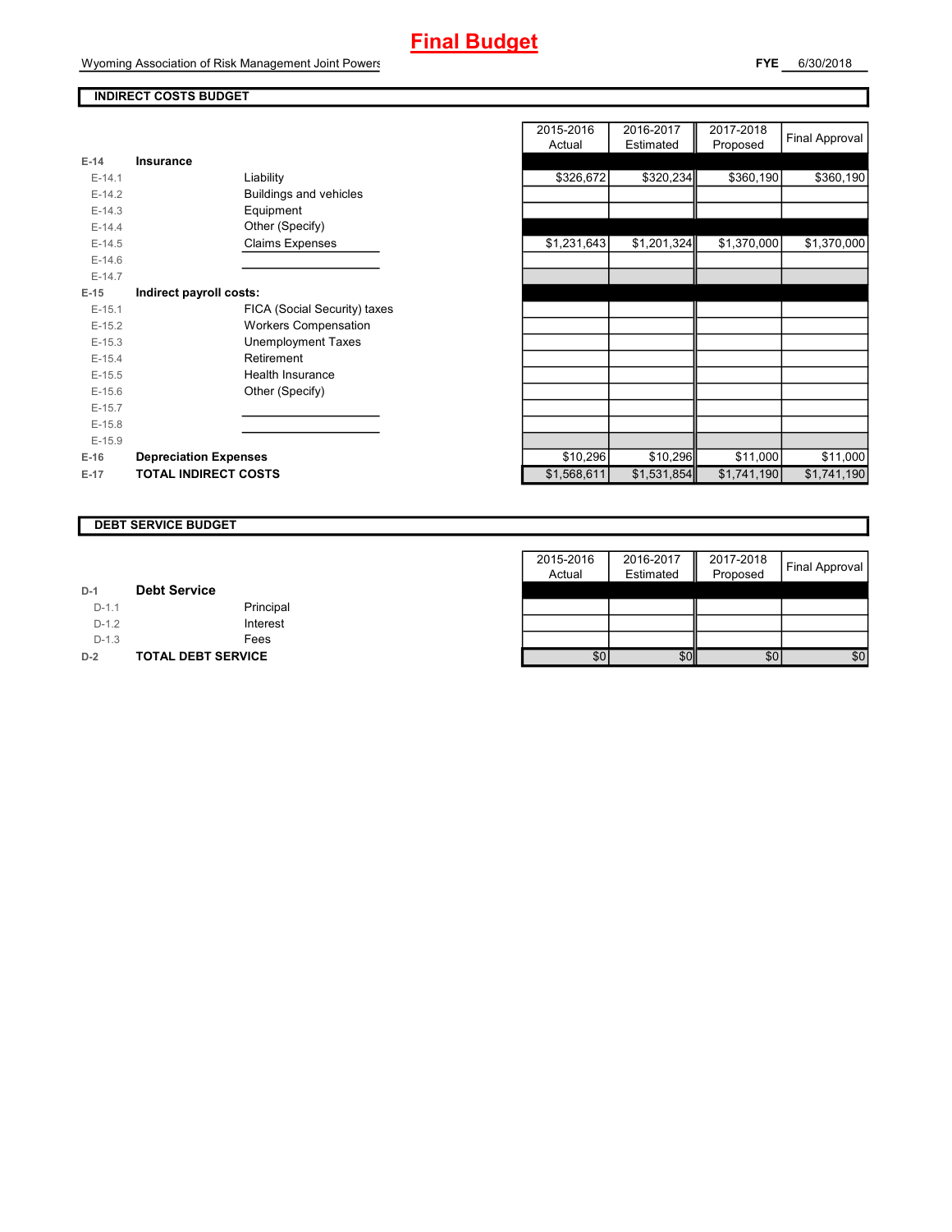# **Final Budget**

Wyoming Association of Risk Management Joint Powers

# **INDIRECT COSTS BUDGET**

| E-14     | Insurance                     |
|----------|-------------------------------|
| $F-141$  | Liability                     |
| $E-14.2$ | <b>Buildings and vehicles</b> |
| $E-14.3$ | Equipment                     |
| $F-144$  | Other (Specify)               |
| $E-14.5$ | <b>Claims Expenses</b>        |
| $E-14.6$ |                               |
| $F-147$  |                               |
| $E-15$   | Indirect payroll costs:       |
| $E-15.1$ | FICA (Social Security) taxes  |
| $E-15.2$ | Workers Compensation          |
| $F-15.3$ | Unemployment Taxes            |
| $E-15.4$ | Retirement                    |
| $E-15.5$ | Health Insurance              |
| $F-156$  | Other (Specify)               |
| $E-15.7$ |                               |
| $E-15.8$ |                               |
| $E-15.9$ |                               |
| $E-16$   | <b>Depreciation Expenses</b>  |
| $E-17$   | <b>TOTAL INDIRECT COSTS</b>   |

|          |                               | 2015-2016<br>Actual | 2016-2017<br>Estimated | 2017-2018<br>Proposed | Final Approval |
|----------|-------------------------------|---------------------|------------------------|-----------------------|----------------|
| $E-14$   | Insurance                     |                     |                        |                       |                |
| $E-14.1$ | Liability                     | \$326,672           | \$320,234              | \$360,190             | \$360,190      |
| $E-14.2$ | <b>Buildings and vehicles</b> |                     |                        |                       |                |
| $E-14.3$ | Equipment                     |                     |                        |                       |                |
| $E-14.4$ | Other (Specify)               |                     |                        |                       |                |
| $E-14.5$ | <b>Claims Expenses</b>        | \$1,231,643         | \$1,201,324            | \$1,370,000           | \$1,370,000    |
| $E-14.6$ |                               |                     |                        |                       |                |
| $E-14.7$ |                               |                     |                        |                       |                |
| $E-15$   | Indirect payroll costs:       |                     |                        |                       |                |
| $E-15.1$ | FICA (Social Security) taxes  |                     |                        |                       |                |
| $E-15.2$ | <b>Workers Compensation</b>   |                     |                        |                       |                |
| $E-15.3$ | <b>Unemployment Taxes</b>     |                     |                        |                       |                |
| $E-15.4$ | Retirement                    |                     |                        |                       |                |
| $E-15.5$ | Health Insurance              |                     |                        |                       |                |
| $E-15.6$ | Other (Specify)               |                     |                        |                       |                |
| $E-15.7$ |                               |                     |                        |                       |                |
| $E-15.8$ |                               |                     |                        |                       |                |
| $E-15.9$ |                               |                     |                        |                       |                |
| $E-16$   | <b>Depreciation Expenses</b>  | \$10,296            | \$10,296               | \$11,000              | \$11,000       |
| E-17     | <b>TOTAL INDIRECT COSTS</b>   | \$1,568,611         | \$1,531,854            | \$1,741,190           | \$1,741,190    |
|          |                               |                     |                        |                       |                |

### **DEBT SERVICE BUDGET**

|         |                           | 2015-2016 | 2016-2017 | 2017-2018 |                       |
|---------|---------------------------|-----------|-----------|-----------|-----------------------|
|         |                           | Actual    | Estimated | Proposed  | <b>Final Approval</b> |
| $D-1$   | <b>Debt Service</b>       |           |           |           |                       |
| $D-1.1$ | Principal                 |           |           |           |                       |
| $D-1.2$ | Interest                  |           |           |           |                       |
| $D-1.3$ | Fees                      |           |           |           |                       |
| $D-2$   | <b>TOTAL DEBT SERVICE</b> | \$0       | \$0       | \$0       | \$0                   |